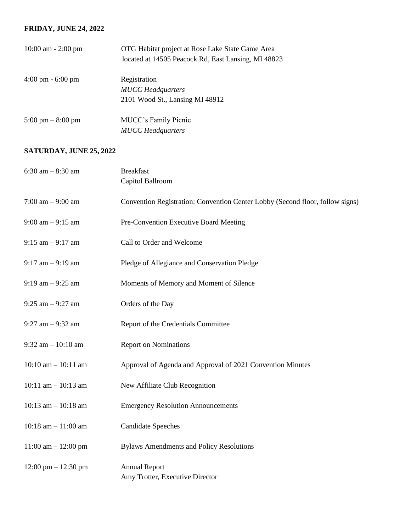## **FRIDAY, JUNE 24, 2022**

| $10:00$ am $- 2:00$ pm              | OTG Habitat project at Rose Lake State Game Area<br>located at 14505 Peacock Rd, East Lansing, MI 48823 |
|-------------------------------------|---------------------------------------------------------------------------------------------------------|
| $4:00 \text{ pm} - 6:00 \text{ pm}$ | Registration                                                                                            |
|                                     | <b>MUCC</b> Headquarters                                                                                |
|                                     | 2101 Wood St., Lansing MI 48912                                                                         |
| $5:00 \text{ pm} - 8:00 \text{ pm}$ | <b>MUCC's Family Picnic</b>                                                                             |
|                                     | <b>MUCC</b> Headquarters                                                                                |

## **SATURDAY, JUNE 25, 2022**

| 6:30 am $-8:30$ am                    | <b>Breakfast</b>                                                              |
|---------------------------------------|-------------------------------------------------------------------------------|
|                                       | Capitol Ballroom                                                              |
| 7:00 am $-9:00$ am                    | Convention Registration: Convention Center Lobby (Second floor, follow signs) |
| $9:00$ am $-9:15$ am                  | Pre-Convention Executive Board Meeting                                        |
| $9:15$ am $-9:17$ am                  | Call to Order and Welcome                                                     |
| $9:17$ am $-9:19$ am                  | Pledge of Allegiance and Conservation Pledge                                  |
| $9:19$ am $-9:25$ am                  | Moments of Memory and Moment of Silence                                       |
| $9:25$ am $-9:27$ am                  | Orders of the Day                                                             |
| $9:27$ am $-9:32$ am                  | Report of the Credentials Committee                                           |
| 9:32 am $-10:10$ am                   | <b>Report on Nominations</b>                                                  |
| $10:10$ am $- 10:11$ am               | Approval of Agenda and Approval of 2021 Convention Minutes                    |
| 10:11 am $-$ 10:13 am                 | New Affiliate Club Recognition                                                |
| 10:13 am $-$ 10:18 am                 | <b>Emergency Resolution Announcements</b>                                     |
| 10:18 am $- 11:00$ am                 | <b>Candidate Speeches</b>                                                     |
| 11:00 am $- 12:00$ pm                 | <b>Bylaws Amendments and Policy Resolutions</b>                               |
| $12:00 \text{ pm} - 12:30 \text{ pm}$ | <b>Annual Report</b><br>Amy Trotter, Executive Director                       |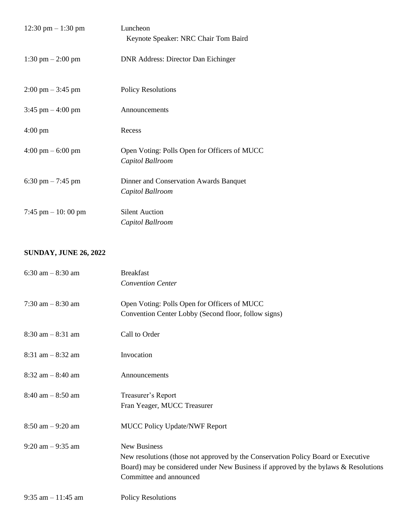| 12:30 pm $-1:30$ pm                 | Luncheon<br>Keynote Speaker: NRC Chair Tom Baird                 |
|-------------------------------------|------------------------------------------------------------------|
| $1:30 \text{ pm} - 2:00 \text{ pm}$ | <b>DNR Address: Director Dan Eichinger</b>                       |
| $2:00 \text{ pm} - 3:45 \text{ pm}$ | <b>Policy Resolutions</b>                                        |
| $3:45$ pm $-4:00$ pm                | Announcements                                                    |
| $4:00 \text{ pm}$                   | Recess                                                           |
| $4:00 \text{ pm} - 6:00 \text{ pm}$ | Open Voting: Polls Open for Officers of MUCC<br>Capitol Ballroom |
| 6:30 pm $-7:45$ pm                  | Dinner and Conservation Awards Banquet<br>Capitol Ballroom       |
| 7:45 pm $-10:00$ pm                 | <b>Silent Auction</b><br>Capitol Ballroom                        |

## **SUNDAY, JUNE 26, 2022**

| $6:30$ am $-8:30$ am  | <b>Breakfast</b>                                                                    |
|-----------------------|-------------------------------------------------------------------------------------|
|                       | <b>Convention Center</b>                                                            |
| 7:30 am $-8:30$ am    | Open Voting: Polls Open for Officers of MUCC                                        |
|                       | Convention Center Lobby (Second floor, follow signs)                                |
| $8:30$ am $-8:31$ am  | Call to Order                                                                       |
| $8:31$ am $-8:32$ am  | Invocation                                                                          |
| $8:32$ am $-8:40$ am  | Announcements                                                                       |
| $8:40$ am $-8:50$ am  | Treasurer's Report                                                                  |
|                       | Fran Yeager, MUCC Treasurer                                                         |
| $8:50$ am $-9:20$ am  | <b>MUCC Policy Update/NWF Report</b>                                                |
| $9:20$ am $-9:35$ am  | <b>New Business</b>                                                                 |
|                       | New resolutions (those not approved by the Conservation Policy Board or Executive   |
|                       | Board) may be considered under New Business if approved by the bylaws & Resolutions |
|                       | Committee and announced                                                             |
| $9:35$ am $-11:45$ am | <b>Policy Resolutions</b>                                                           |